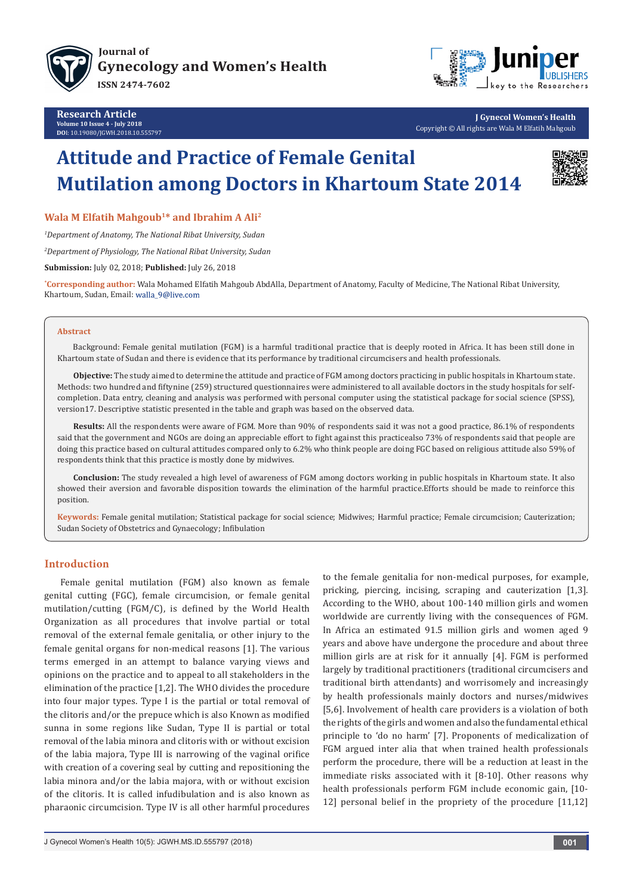

**Research Article Volume 10 Issue 4 - July 2018 DO**I: [10.19080/JGWH.2018.10.555797](http://dx.doi.org/10.19080/JGWH.2018.10.555797)



**J Gynecol Women's Health** Copyright © All rights are Wala M Elfatih Mahgoub

# **Attitude and Practice of Female Genital Mutilation among Doctors in Khartoum State 2014**



**Wala M Elfatih Mahgoub1\* and Ibrahim A Ali2**

*1 Department of Anatomy, The National Ribat University, Sudan*

*2 Department of Physiology, The National Ribat University, Sudan*

**Submission:** July 02, 2018; **Published:** July 26, 2018

**\* Corresponding author:** Wala Mohamed Elfatih Mahgoub AbdAlla, Department of Anatomy, Faculty of Medicine, The National Ribat University, Khartoum, Sudan, Email: walla\_9@live.com

#### **Abstract**

Background: Female genital mutilation (FGM) is a harmful traditional practice that is deeply rooted in Africa. It has been still done in Khartoum state of Sudan and there is evidence that its performance by traditional circumcisers and health professionals.

**Objective:** The study aimed to determine the attitude and practice of FGM among doctors practicing in public hospitals in Khartoum state. Methods: two hundred and fiftynine (259) structured questionnaires were administered to all available doctors in the study hospitals for selfcompletion. Data entry, cleaning and analysis was performed with personal computer using the statistical package for social science (SPSS), version17. Descriptive statistic presented in the table and graph was based on the observed data.

**Results:** All the respondents were aware of FGM. More than 90% of respondents said it was not a good practice, 86.1% of respondents said that the government and NGOs are doing an appreciable effort to fight against this practicealso 73% of respondents said that people are doing this practice based on cultural attitudes compared only to 6.2% who think people are doing FGC based on religious attitude also 59% of respondents think that this practice is mostly done by midwives.

**Conclusion:** The study revealed a high level of awareness of FGM among doctors working in public hospitals in Khartoum state. It also showed their aversion and favorable disposition towards the elimination of the harmful practice.Efforts should be made to reinforce this position.

**Keywords:** Female genital mutilation; Statistical package for social science; Midwives; Harmful practice; Female circumcision; Cauterization; Sudan Society of Obstetrics and Gynaecology; Infibulation

## **Introduction**

Female genital mutilation (FGM) also known as female genital cutting (FGC), female circumcision, or female genital mutilation/cutting (FGM/C), is defined by the World Health Organization as all procedures that involve partial or total removal of the external female genitalia, or other injury to the female genital organs for non-medical reasons [1]. The various terms emerged in an attempt to balance varying views and opinions on the practice and to appeal to all stakeholders in the elimination of the practice [1,2]. The WHO divides the procedure into four major types. Type I is the partial or total removal of the clitoris and/or the prepuce which is also Known as modified sunna in some regions like Sudan, Type II is partial or total removal of the labia minora and clitoris with or without excision of the labia majora, Type III is narrowing of the vaginal orifice with creation of a covering seal by cutting and repositioning the labia minora and/or the labia majora, with or without excision of the clitoris. It is called infudibulation and is also known as pharaonic circumcision. Type IV is all other harmful procedures

to the female genitalia for non-medical purposes, for example, pricking, piercing, incising, scraping and cauterization [1,3]. According to the WHO, about 100-140 million girls and women worldwide are currently living with the consequences of FGM. In Africa an estimated 91.5 million girls and women aged 9 years and above have undergone the procedure and about three million girls are at risk for it annually [4]. FGM is performed largely by traditional practitioners (traditional circumcisers and traditional birth attendants) and worrisomely and increasingly by health professionals mainly doctors and nurses/midwives [5,6]. Involvement of health care providers is a violation of both the rights of the girls and women and also the fundamental ethical principle to 'do no harm' [7]. Proponents of medicalization of FGM argued inter alia that when trained health professionals perform the procedure, there will be a reduction at least in the immediate risks associated with it [8-10]. Other reasons why health professionals perform FGM include economic gain, [10- 12] personal belief in the propriety of the procedure [11,12]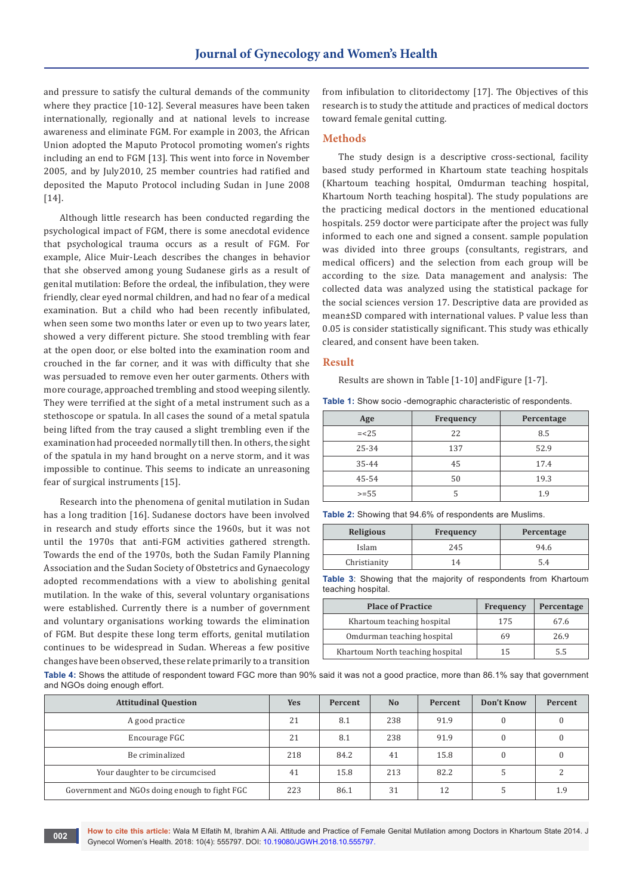and pressure to satisfy the cultural demands of the community where they practice [10-12]. Several measures have been taken internationally, regionally and at national levels to increase awareness and eliminate FGM. For example in 2003, the African Union adopted the Maputo Protocol promoting women's rights including an end to FGM [13]. This went into force in November 2005, and by July2010, 25 member countries had ratified and deposited the Maputo Protocol including Sudan in June 2008 [14].

Although little research has been conducted regarding the psychological impact of FGM, there is some anecdotal evidence that psychological trauma occurs as a result of FGM. For example, Alice Muir-Leach describes the changes in behavior that she observed among young Sudanese girls as a result of genital mutilation: Before the ordeal, the infibulation, they were friendly, clear eyed normal children, and had no fear of a medical examination. But a child who had been recently infibulated, when seen some two months later or even up to two years later, showed a very different picture. She stood trembling with fear at the open door, or else bolted into the examination room and crouched in the far corner, and it was with difficulty that she was persuaded to remove even her outer garments. Others with more courage, approached trembling and stood weeping silently. They were terrified at the sight of a metal instrument such as a stethoscope or spatula. In all cases the sound of a metal spatula being lifted from the tray caused a slight trembling even if the examination had proceeded normally till then. In others, the sight of the spatula in my hand brought on a nerve storm, and it was impossible to continue. This seems to indicate an unreasoning fear of surgical instruments [15].

Research into the phenomena of genital mutilation in Sudan has a long tradition [16]. Sudanese doctors have been involved in research and study efforts since the 1960s, but it was not until the 1970s that anti-FGM activities gathered strength. Towards the end of the 1970s, both the Sudan Family Planning Association and the Sudan Society of Obstetrics and Gynaecology adopted recommendations with a view to abolishing genital mutilation. In the wake of this, several voluntary organisations were established. Currently there is a number of government and voluntary organisations working towards the elimination of FGM. But despite these long term efforts, genital mutilation continues to be widespread in Sudan. Whereas a few positive changes have been observed, these relate primarily to a transition

from infibulation to clitoridectomy [17]. The Objectives of this research is to study the attitude and practices of medical doctors toward female genital cutting.

## **Methods**

The study design is a descriptive cross-sectional, facility based study performed in Khartoum state teaching hospitals (Khartoum teaching hospital, Omdurman teaching hospital, Khartoum North teaching hospital). The study populations are the practicing medical doctors in the mentioned educational hospitals. 259 doctor were participate after the project was fully informed to each one and signed a consent. sample population was divided into three groups (consultants, registrars, and medical officers) and the selection from each group will be according to the size. Data management and analysis: The collected data was analyzed using the statistical package for the social sciences version 17. Descriptive data are provided as mean±SD compared with international values. P value less than 0.05 is consider statistically significant. This study was ethically cleared, and consent have been taken.

#### **Result**

Results are shown in Table [1-10] andFigure [1-7].

| <b>Frequency</b><br>Age |  | Percentage |
|-------------------------|--|------------|
|                         |  |            |

**Table 1:** Show socio -demographic characteristic of respondents.

| $=< 25$ | 22  | 8.5  |
|---------|-----|------|
| 25-34   | 137 | 52.9 |
| 35-44   | 45  | 17.4 |
| 45-54   | 50  | 19.3 |
| $>= 55$ |     | 1.9  |

**Table 2:** Showing that 94.6% of respondents are Muslims.

| <b>Religious</b> | <b>Frequency</b> | Percentage |
|------------------|------------------|------------|
| Islam            | 245              | 94.6       |
| Christianity     | 14               | 5.4        |

**Table 3**: Showing that the majority of respondents from Khartoum teaching hospital.

| <b>Place of Practice</b>         | Frequency | Percentage |
|----------------------------------|-----------|------------|
| Khartoum teaching hospital       | 175       | 67.6       |
| Omdurman teaching hospital       | 69        | 26.9       |
| Khartoum North teaching hospital | 15        | 5.5        |

**Table 4:** Shows the attitude of respondent toward FGC more than 90% said it was not a good practice, more than 86.1% say that government and NGOs doing enough effort.

| <b>Attitudinal Question</b>                   | Yes | Percent | N <sub>o</sub> | Percent | Don't Know | Percent |
|-----------------------------------------------|-----|---------|----------------|---------|------------|---------|
| A good practice                               | 21  | 8.1     | 238            | 91.9    |            |         |
| Encourage FGC                                 | 21  | 8.1     | 238            | 91.9    |            |         |
| Be criminalized                               | 218 | 84.2    | 41             | 15.8    |            |         |
| Your daughter to be circumcised               | 41  | 15.8    | 213            | 82.2    |            |         |
| Government and NGOs doing enough to fight FGC | 223 | 86.1    | 31             | 12      |            | 1.9     |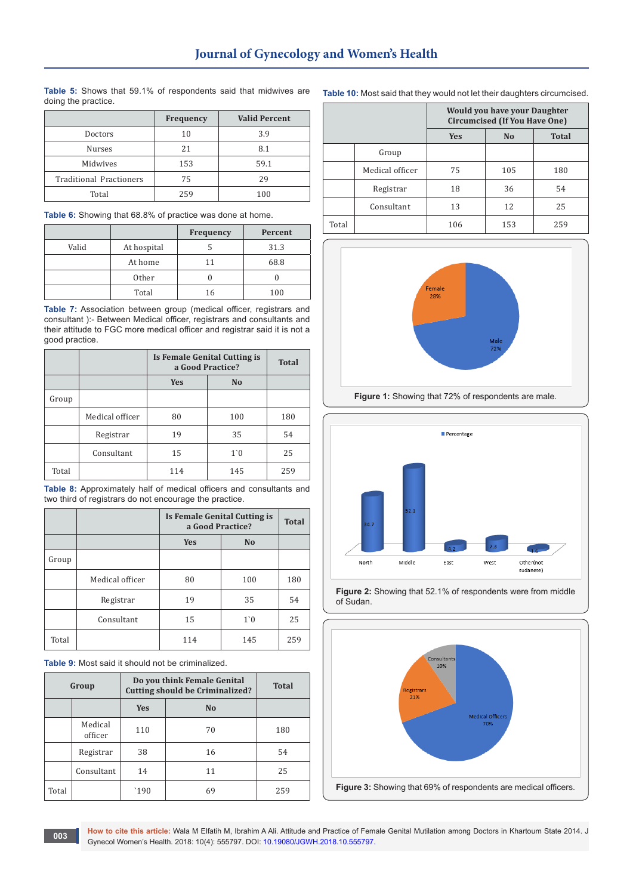|                                | Frequency | <b>Valid Percent</b> |
|--------------------------------|-----------|----------------------|
| Doctors                        | 10        | 3.9                  |
| <b>Nurses</b>                  | 21        | 8.1                  |
| Midwives                       | 153       | 59.1                 |
| <b>Traditional Practioners</b> | 75        | 29                   |
| Total                          | 259       | 100                  |

**Table 5:** Shows that 59.1% of respondents said that midwives are doing the practice.

**Table 6:** Showing that 68.8% of practice was done at home.

|       |                   | Frequency | Percent |
|-------|-------------------|-----------|---------|
| Valid | At hospital       |           | 31.3    |
|       | At home           | 11        | 68.8    |
|       | 0 <sub>ther</sub> |           |         |
|       | Total             | 16        | 100     |

**Table 7:** Association between group (medical officer, registrars and consultant ):- Between Medical officer, registrars and consultants and their attitude to FGC more medical officer and registrar said it is not a good practice.

|       |                 | Is Female Genital Cutting is<br>a Good Practice? |                | <b>Total</b> |
|-------|-----------------|--------------------------------------------------|----------------|--------------|
|       |                 | <b>Yes</b>                                       | N <sub>o</sub> |              |
| Group |                 |                                                  |                |              |
|       | Medical officer | 80                                               | 100            | 180          |
|       | Registrar       | 19                                               | 35             | 54           |
|       | Consultant      | 15                                               | 1 <sup>0</sup> | 25           |
| Total |                 | 114                                              | 145            | 259          |

**Table 8:** Approximately half of medical officers and consultants and two third of registrars do not encourage the practice.

|       |                 | Is Female Genital Cutting is<br>a Good Practice? |                | <b>Total</b> |
|-------|-----------------|--------------------------------------------------|----------------|--------------|
|       |                 | <b>Yes</b>                                       | N <sub>o</sub> |              |
| Group |                 |                                                  |                |              |
|       | Medical officer | 80                                               | 100            | 180          |
|       | Registrar       | 19                                               | 35             | 54           |
|       | Consultant      | 15                                               | 1 <sup>0</sup> | 25           |
| Total |                 | 114                                              | 145            | 259          |

**Table 9:** Most said it should not be criminalized.

| Group |                    | Do you think Female Genital<br><b>Cutting should be Criminalized?</b> |                | <b>Total</b> |
|-------|--------------------|-----------------------------------------------------------------------|----------------|--------------|
|       |                    | <b>Yes</b>                                                            | N <sub>0</sub> |              |
|       | Medical<br>officer | 110                                                                   | 70             | 180          |
|       | Registrar          | 38                                                                    | 16             | 54           |
|       | Consultant         | 14                                                                    | 11             | 25           |
| Total |                    | `190                                                                  | 69             | 259          |

|       |                 | <b>Would you have your Daughter</b><br><b>Circumcised (If You Have One)</b> |     |     |
|-------|-----------------|-----------------------------------------------------------------------------|-----|-----|
|       |                 | <b>Total</b><br><b>Yes</b><br>N <sub>o</sub>                                |     |     |
|       | Group           |                                                                             |     |     |
|       | Medical officer | 75                                                                          | 105 | 180 |
|       | Registrar       | 18                                                                          | 36  | 54  |
|       | Consultant      | 13                                                                          | 12  | 25  |
| Total |                 | 106                                                                         | 153 | 259 |





**Figure 2:** Showing that 52.1% of respondents were from middle of Sudan.



**Table 10:** Most said that they would not let their daughters circumcised.

**How to cite this article:** Wala M Elfatih M, Ibrahim A Ali. Attitude and Practice of Female Genital Mutilation among Doctors in Khartoum State 2014. J Gynecol Women's Health. 2018: 10(4): 555797. DOI: [10.19080/JGWH.2018.10.555797.](http://dx.doi.org/10.19080/JGWH.2018.10.555797)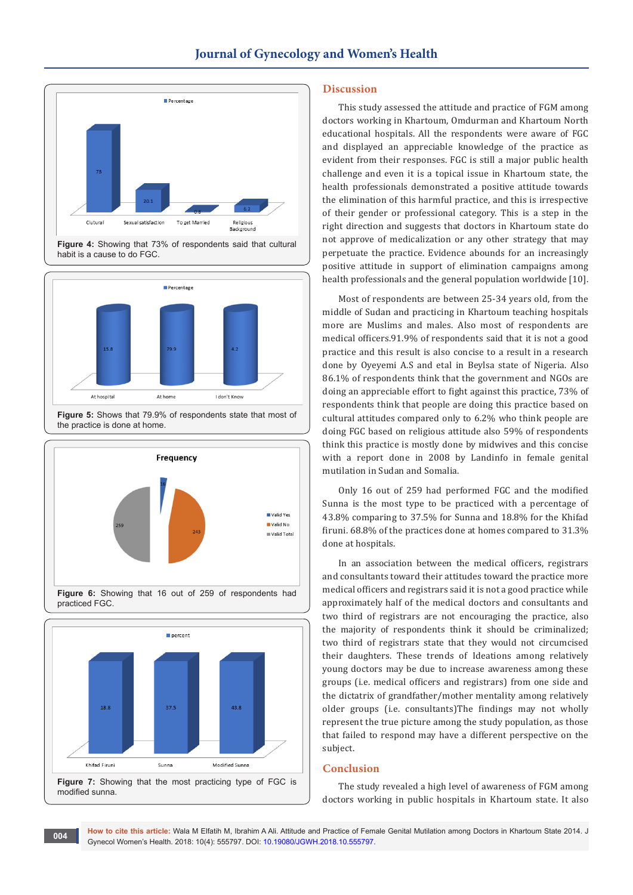

**Figure 4:** Showing that 73% of respondents said that cultural habit is a cause to do FGC.



**Figure 5:** Shows that 79.9% of respondents state that most of the practice is done at home.





**Figure 7:** Showing that the most practicing type of FGC is modified sunna.

# **Discussion**

This study assessed the attitude and practice of FGM among doctors working in Khartoum, Omdurman and Khartoum North educational hospitals. All the respondents were aware of FGC and displayed an appreciable knowledge of the practice as evident from their responses. FGC is still a major public health challenge and even it is a topical issue in Khartoum state, the health professionals demonstrated a positive attitude towards the elimination of this harmful practice, and this is irrespective of their gender or professional category. This is a step in the right direction and suggests that doctors in Khartoum state do not approve of medicalization or any other strategy that may perpetuate the practice. Evidence abounds for an increasingly positive attitude in support of elimination campaigns among health professionals and the general population worldwide [10].

Most of respondents are between 25-34 years old, from the middle of Sudan and practicing in Khartoum teaching hospitals more are Muslims and males. Also most of respondents are medical officers.91.9% of respondents said that it is not a good practice and this result is also concise to a result in a research done by Oyeyemi A.S and etal in Beylsa state of Nigeria. Also 86.1% of respondents think that the government and NGOs are doing an appreciable effort to fight against this practice, 73% of respondents think that people are doing this practice based on cultural attitudes compared only to 6.2% who think people are doing FGC based on religious attitude also 59% of respondents think this practice is mostly done by midwives and this concise with a report done in 2008 by Landinfo in female genital mutilation in Sudan and Somalia.

Only 16 out of 259 had performed FGC and the modified Sunna is the most type to be practiced with a percentage of 43.8% comparing to 37.5% for Sunna and 18.8% for the Khifad firuni. 68.8% of the practices done at homes compared to 31.3% done at hospitals.

In an association between the medical officers, registrars and consultants toward their attitudes toward the practice more medical officers and registrars said it is not a good practice while approximately half of the medical doctors and consultants and two third of registrars are not encouraging the practice, also the majority of respondents think it should be criminalized; two third of registrars state that they would not circumcised their daughters. These trends of Ideations among relatively young doctors may be due to increase awareness among these groups (i.e. medical officers and registrars) from one side and the dictatrix of grandfather/mother mentality among relatively older groups (i.e. consultants)The findings may not wholly represent the true picture among the study population, as those that failed to respond may have a different perspective on the subject.

### **Conclusion**

The study revealed a high level of awareness of FGM among doctors working in public hospitals in Khartoum state. It also

**How to cite this article:** Wala M Elfatih M, Ibrahim A Ali. Attitude and Practice of Female Genital Mutilation among Doctors in Khartoum State 2014. J Gynecol Women's Health. 2018: 10(4): 555797. DOI: [10.19080/JGWH.2018.10.555797.](http://dx.doi.org/10.19080/JGWH.2018.10.555797) **<sup>004</sup>**